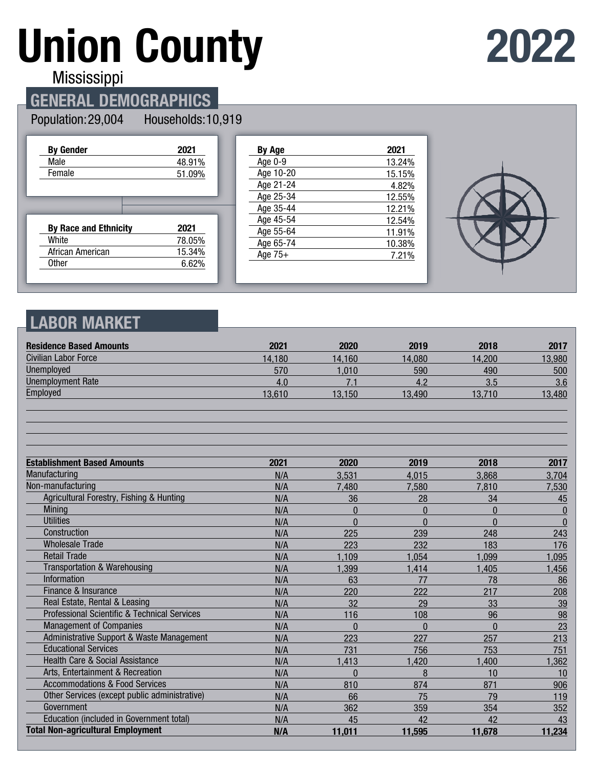# **Union County**

## **2022**

Mississippi

#### **GENERAL DEMOGRAPHICS**

#### Population: 29,004 Households: 10,919

| <b>By Gender</b>             | 2021   |
|------------------------------|--------|
| Male                         | 48.91% |
| Female                       | 51.09% |
|                              |        |
|                              |        |
|                              |        |
| <b>By Race and Ethnicity</b> | 2021   |
| White                        | 78.05% |
| African American             | 15.34% |

| By Age    | 2021   |
|-----------|--------|
| Age 0-9   | 13.24% |
| Age 10-20 | 15.15% |
| Age 21-24 | 4.82%  |
| Age 25-34 | 12.55% |
| Age 35-44 | 12.21% |
| Age 45-54 | 12.54% |
| Age 55-64 | 11.91% |
| Age 65-74 | 10.38% |
| Age $75+$ | 7.21%  |
|           |        |



#### **LABOR MARKET**

| <b>Residence Based Amounts</b>                          | 2021   | 2020     | 2019     | 2018         | 2017         |
|---------------------------------------------------------|--------|----------|----------|--------------|--------------|
| Civilian Labor Force                                    | 14,180 | 14.160   | 14,080   | 14,200       | 13,980       |
| Unemployed                                              | 570    | 1,010    | 590      | 490          | 500          |
| <b>Unemployment Rate</b>                                | 4.0    | 7.1      | 4.2      | 3.5          | 3.6          |
| Employed                                                | 13,610 | 13,150   | 13,490   | 13,710       | 13,480       |
|                                                         |        |          |          |              |              |
| <b>Establishment Based Amounts</b>                      | 2021   | 2020     | 2019     | 2018         | 2017         |
| Manufacturing                                           | N/A    | 3,531    | 4,015    | 3,868        | 3,704        |
| Non-manufacturing                                       | N/A    | 7,480    | 7,580    | 7,810        | 7,530        |
| Agricultural Forestry, Fishing & Hunting                | N/A    | 36       | 28       | 34           | 45           |
| <b>Mining</b>                                           | N/A    | $\Omega$ | $\Omega$ | $\mathbf{0}$ | $\bf{0}$     |
| <b>Utilities</b>                                        | N/A    | $\Omega$ | $\Omega$ | $\Omega$     | $\mathbf{0}$ |
| Construction                                            | N/A    | 225      | 239      | 248          | 243          |
| <b>Wholesale Trade</b>                                  | N/A    | 223      | 232      | 183          | 176          |
| <b>Retail Trade</b>                                     | N/A    | 1,109    | 1,054    | 1,099        | 1,095        |
| <b>Transportation &amp; Warehousing</b>                 | N/A    | 1,399    | 1,414    | 1,405        | 1,456        |
| <b>Information</b>                                      | N/A    | 63       | 77       | 78           | 86           |
| Finance & Insurance                                     | N/A    | 220      | 222      | 217          | 208          |
| Real Estate, Rental & Leasing                           | N/A    | 32       | 29       | 33           | 39           |
| <b>Professional Scientific &amp; Technical Services</b> | N/A    | 116      | 108      | 96           | 98           |
| <b>Management of Companies</b>                          | N/A    | $\Omega$ | $\Omega$ | $\Omega$     | 23           |
| Administrative Support & Waste Management               | N/A    | 223      | 227      | 257          | 213          |
| <b>Educational Services</b>                             | N/A    | 731      | 756      | 753          | 751          |
| <b>Health Care &amp; Social Assistance</b>              | N/A    | 1,413    | 1,420    | 1,400        | 1,362        |
| Arts, Entertainment & Recreation                        | N/A    | $\Omega$ | 8        | 10           | 10           |
| <b>Accommodations &amp; Food Services</b>               | N/A    | 810      | 874      | 871          | 906          |
| Other Services (except public administrative)           | N/A    | 66       | 75       | 79           | 119          |
| Government                                              | N/A    | 362      | 359      | 354          | 352          |
| Education (included in Government total)                | N/A    | 45       | 42       | 42           | 43           |
| <b>Total Non-agricultural Employment</b>                | N/A    | 11,011   | 11,595   | 11,678       | 11,234       |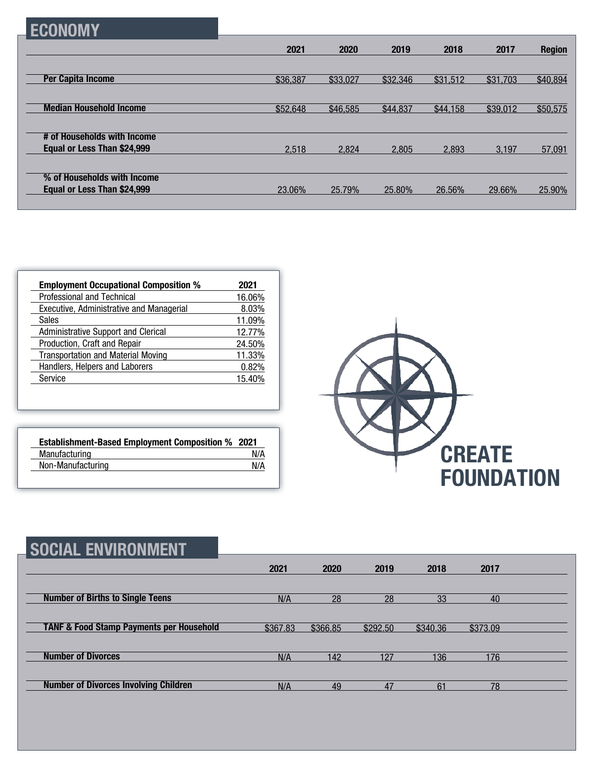| н |
|---|
|---|

|                                | 2021     | 2020     | 2019     | 2018     | 2017     | <b>Region</b> |
|--------------------------------|----------|----------|----------|----------|----------|---------------|
|                                |          |          |          |          |          |               |
| <b>Per Capita Income</b>       | \$36,387 | \$33,027 | \$32,346 | \$31,512 | \$31,703 | \$40,894      |
| <b>Median Household Income</b> |          |          |          |          |          |               |
|                                | \$52,648 | \$46,585 | \$44,837 | \$44,158 | \$39,012 | \$50,575      |
| # of Households with Income    |          |          |          |          |          |               |
| Equal or Less Than \$24,999    | 2,518    | 2.824    | 2.805    | 2.893    | 3.197    | 57,091        |
|                                |          |          |          |          |          |               |
| % of Households with Income    |          |          |          |          |          |               |
| Equal or Less Than \$24,999    | 23.06%   | 25.79%   | 25.80%   | 26.56%   | 29.66%   | 25.90%        |

| <b>Employment Occupational Composition %</b>    | 2021   |
|-------------------------------------------------|--------|
| Professional and Technical                      | 16.06% |
| <b>Executive, Administrative and Managerial</b> | 8.03%  |
| <b>Sales</b>                                    | 11.09% |
| Administrative Support and Clerical             | 12.77% |
| Production, Craft and Repair                    | 24.50% |
| <b>Transportation and Material Moving</b>       | 11.33% |
| Handlers, Helpers and Laborers                  | 0.82%  |
| Service                                         | 15.40% |

| <b>Establishment-Based Employment Composition % 2021</b> |     |
|----------------------------------------------------------|-----|
| Manufacturing                                            | N/A |
| Non-Manufacturing                                        | N/A |



| <b>SOCIAL ENVIRONMENT</b>                           |          |          |          |          |          |  |
|-----------------------------------------------------|----------|----------|----------|----------|----------|--|
|                                                     | 2021     | 2020     | 2019     | 2018     | 2017     |  |
| <b>Number of Births to Single Teens</b>             | N/A      | 28       | 28       | 33       | 40       |  |
| <b>TANF &amp; Food Stamp Payments per Household</b> | \$367.83 | \$366.85 | \$292.50 | \$340.36 | \$373.09 |  |
| <b>Number of Divorces</b>                           | N/A      | 142      | 127      | 136      | 176      |  |
| <b>Number of Divorces Involving Children</b>        | N/A      | 49       | 47       | 61       | 78       |  |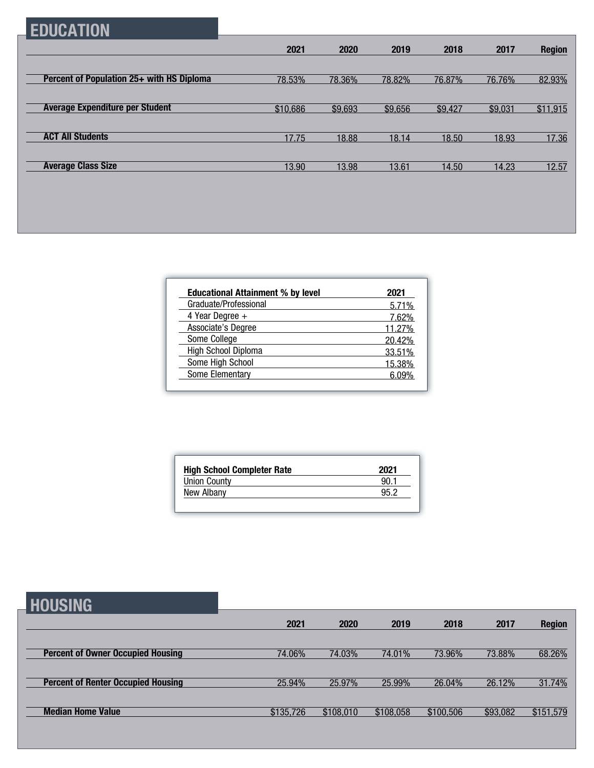### **EDUCATION**

|                                           | 2021     | 2020    | 2019    | 2018    | 2017    | <b>Region</b> |
|-------------------------------------------|----------|---------|---------|---------|---------|---------------|
|                                           |          |         |         |         |         |               |
| Percent of Population 25+ with HS Diploma | 78.53%   | 78.36%  | 78.82%  | 76.87%  | 76.76%  | 82.93%        |
|                                           |          |         |         |         |         |               |
| <b>Average Expenditure per Student</b>    | \$10,686 | \$9,693 | \$9,656 | \$9,427 | \$9,031 | \$11,915      |
|                                           |          |         |         |         |         |               |
| <b>ACT All Students</b>                   | 17.75    | 18.88   | 18.14   | 18.50   | 18.93   | 17.36         |
|                                           |          |         |         |         |         |               |
| <b>Average Class Size</b>                 | 13.90    | 13.98   | 13.61   | 14.50   | 14.23   | 12.57         |

| <b>Educational Attainment % by level</b> | 2021        |
|------------------------------------------|-------------|
| Graduate/Professional                    | 5.71%       |
| 4 Year Degree +                          | 7.62%       |
| Associate's Degree                       | 11.27%      |
| Some College                             | 20.42%      |
| High School Diploma                      | 33.51%      |
| Some High School                         | 15.38%      |
| Some Elementary                          | <u> በዓ%</u> |

| <b>High School Completer Rate</b> | 2021 |
|-----------------------------------|------|
| <b>Union County</b>               | 90.  |
| New Albany                        | 95 2 |

### **HOUSING**

| ---------                                 |           |           |           |           |          |               |
|-------------------------------------------|-----------|-----------|-----------|-----------|----------|---------------|
|                                           | 2021      | 2020      | 2019      | 2018      | 2017     | <b>Region</b> |
|                                           |           |           |           |           |          |               |
| <b>Percent of Owner Occupied Housing</b>  | 74.06%    | 74.03%    | 74.01%    | 73.96%    | 73.88%   | 68.26%        |
|                                           |           |           |           |           |          |               |
| <b>Percent of Renter Occupied Housing</b> | 25.94%    | 25.97%    | 25.99%    | 26.04%    | 26.12%   | 31.74%        |
|                                           |           |           |           |           |          |               |
| <b>Median Home Value</b>                  | \$135,726 | \$108,010 | \$108,058 | \$100,506 | \$93,082 | \$151,579     |
|                                           |           |           |           |           |          |               |